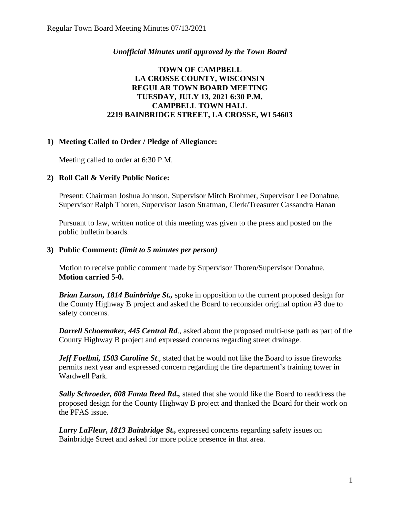### *Unofficial Minutes until approved by the Town Board*

### **TOWN OF CAMPBELL LA CROSSE COUNTY, WISCONSIN REGULAR TOWN BOARD MEETING TUESDAY, JULY 13, 2021 6:30 P.M. CAMPBELL TOWN HALL 2219 BAINBRIDGE STREET, LA CROSSE, WI 54603**

# **1) Meeting Called to Order / Pledge of Allegiance:**

Meeting called to order at 6:30 P.M.

# **2) Roll Call & Verify Public Notice:**

Present: Chairman Joshua Johnson, Supervisor Mitch Brohmer, Supervisor Lee Donahue, Supervisor Ralph Thoren, Supervisor Jason Stratman, Clerk/Treasurer Cassandra Hanan

Pursuant to law, written notice of this meeting was given to the press and posted on the public bulletin boards.

#### **3) Public Comment:** *(limit to 5 minutes per person)*

Motion to receive public comment made by Supervisor Thoren/Supervisor Donahue. **Motion carried 5-0.**

*Brian Larson, 1814 Bainbridge St.,* spoke in opposition to the current proposed design for the County Highway B project and asked the Board to reconsider original option #3 due to safety concerns.

*Darrell Schoemaker, 445 Central Rd.,* asked about the proposed multi-use path as part of the County Highway B project and expressed concerns regarding street drainage.

*Jeff Foellmi, 1503 Caroline St*., stated that he would not like the Board to issue fireworks permits next year and expressed concern regarding the fire department's training tower in Wardwell Park.

*Sally Schroeder, 608 Fanta Reed Rd.,* stated that she would like the Board to readdress the proposed design for the County Highway B project and thanked the Board for their work on the PFAS issue.

*Larry LaFleur, 1813 Bainbridge St.,* expressed concerns regarding safety issues on Bainbridge Street and asked for more police presence in that area.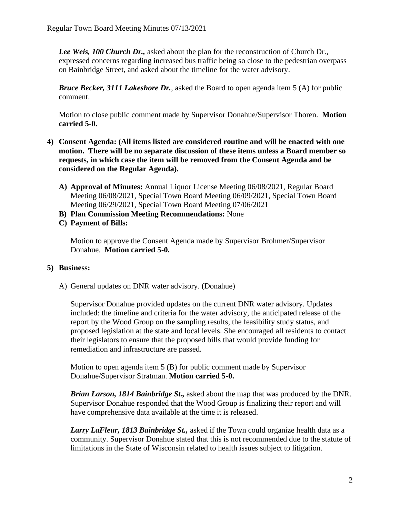*Lee Weis, 100 Church Dr.,* asked about the plan for the reconstruction of Church Dr., expressed concerns regarding increased bus traffic being so close to the pedestrian overpass on Bainbridge Street, and asked about the timeline for the water advisory.

*Bruce Becker, 3111 Lakeshore Dr.*, asked the Board to open agenda item 5 (A) for public comment.

Motion to close public comment made by Supervisor Donahue/Supervisor Thoren. **Motion carried 5-0.**

- **4) Consent Agenda: (All items listed are considered routine and will be enacted with one motion. There will be no separate discussion of these items unless a Board member so requests, in which case the item will be removed from the Consent Agenda and be considered on the Regular Agenda).**
	- **A) Approval of Minutes:** Annual Liquor License Meeting 06/08/2021, Regular Board Meeting 06/08/2021, Special Town Board Meeting 06/09/2021, Special Town Board Meeting 06/29/2021, Special Town Board Meeting 07/06/2021
	- **B) Plan Commission Meeting Recommendations:** None
	- **C) Payment of Bills:**

Motion to approve the Consent Agenda made by Supervisor Brohmer/Supervisor Donahue. **Motion carried 5-0.** 

# **5) Business:**

A) General updates on DNR water advisory. (Donahue)

Supervisor Donahue provided updates on the current DNR water advisory. Updates included: the timeline and criteria for the water advisory, the anticipated release of the report by the Wood Group on the sampling results, the feasibility study status, and proposed legislation at the state and local levels. She encouraged all residents to contact their legislators to ensure that the proposed bills that would provide funding for remediation and infrastructure are passed.

Motion to open agenda item 5 (B) for public comment made by Supervisor Donahue/Supervisor Stratman. **Motion carried 5-0.**

*Brian Larson, 1814 Bainbridge St.,* asked about the map that was produced by the DNR. Supervisor Donahue responded that the Wood Group is finalizing their report and will have comprehensive data available at the time it is released.

*Larry LaFleur, 1813 Bainbridge St.,* asked if the Town could organize health data as a community. Supervisor Donahue stated that this is not recommended due to the statute of limitations in the State of Wisconsin related to health issues subject to litigation.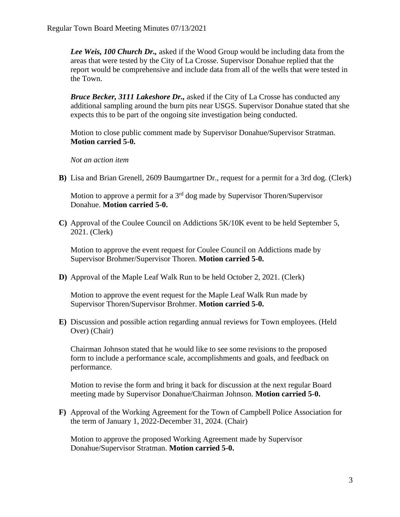*Lee Weis, 100 Church Dr.,* asked if the Wood Group would be including data from the areas that were tested by the City of La Crosse. Supervisor Donahue replied that the report would be comprehensive and include data from all of the wells that were tested in the Town.

*Bruce Becker, 3111 Lakeshore Dr.,* asked if the City of La Crosse has conducted any additional sampling around the burn pits near USGS. Supervisor Donahue stated that she expects this to be part of the ongoing site investigation being conducted.

Motion to close public comment made by Supervisor Donahue/Supervisor Stratman. **Motion carried 5-0.**

#### *Not an action item*

**B)** Lisa and Brian Grenell, 2609 Baumgartner Dr., request for a permit for a 3rd dog. (Clerk)

Motion to approve a permit for a  $3<sup>rd</sup>$  dog made by Supervisor Thoren/Supervisor Donahue. **Motion carried 5-0.**

**C)** Approval of the Coulee Council on Addictions 5K/10K event to be held September 5, 2021. (Clerk)

Motion to approve the event request for Coulee Council on Addictions made by Supervisor Brohmer/Supervisor Thoren. **Motion carried 5-0.**

**D)** Approval of the Maple Leaf Walk Run to be held October 2, 2021. (Clerk)

Motion to approve the event request for the Maple Leaf Walk Run made by Supervisor Thoren/Supervisor Brohmer. **Motion carried 5-0.** 

**E)** Discussion and possible action regarding annual reviews for Town employees. (Held Over) (Chair)

Chairman Johnson stated that he would like to see some revisions to the proposed form to include a performance scale, accomplishments and goals, and feedback on performance.

Motion to revise the form and bring it back for discussion at the next regular Board meeting made by Supervisor Donahue/Chairman Johnson. **Motion carried 5-0.**

**F)** Approval of the Working Agreement for the Town of Campbell Police Association for the term of January 1, 2022-December 31, 2024. (Chair)

Motion to approve the proposed Working Agreement made by Supervisor Donahue/Supervisor Stratman. **Motion carried 5-0.**